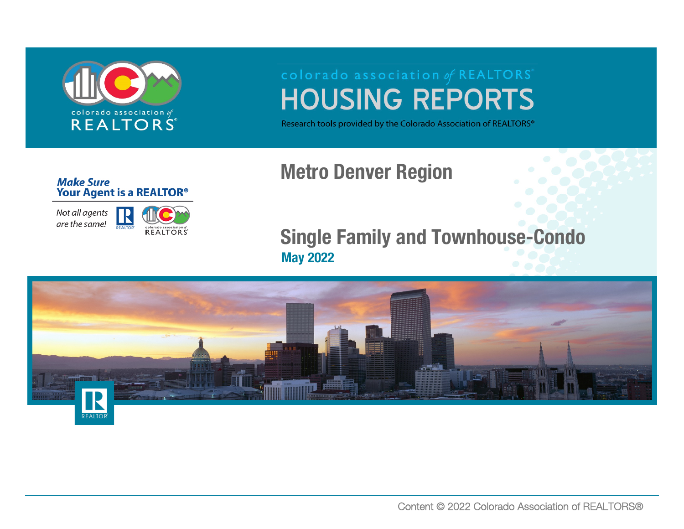

# **HOUSING REPORTS**

Research tools provided by the Colorado Association of REALTORS®

# Metro Denver Region

### **Make Sure** Your Agent is a REALTOR<sup>®</sup>

Not all agents are the same!



# Single Family and Townhouse-Condo May 2022

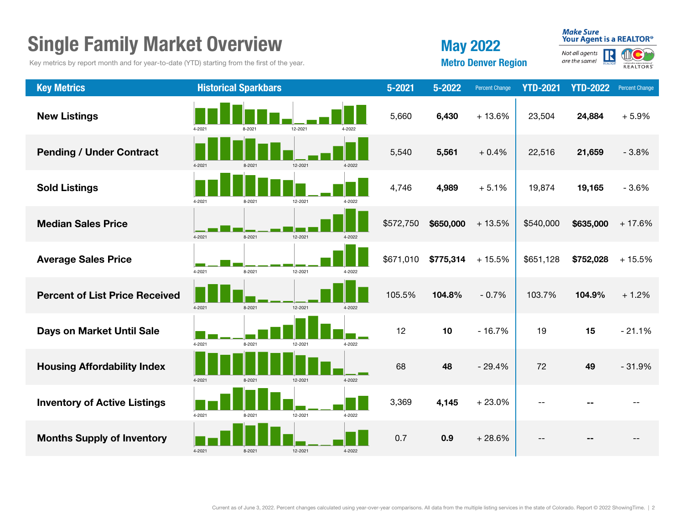| <b>Single Family Market Overview</b>                                                        |        |                             |         |        |            |           | <b>May 2022</b>            |                 |                                            | <b>Make Sure</b><br>Your Agent is a REALTOR® |  |  |
|---------------------------------------------------------------------------------------------|--------|-----------------------------|---------|--------|------------|-----------|----------------------------|-----------------|--------------------------------------------|----------------------------------------------|--|--|
| Key metrics by report month and for year-to-date (YTD) starting from the first of the year. |        |                             |         |        |            |           | <b>Metro Denver Region</b> |                 | Not all agents<br>REALTON<br>are the same! | Colorado association of<br>REALTORS          |  |  |
| <b>Key Metrics</b>                                                                          |        | <b>Historical Sparkbars</b> |         |        | $5 - 2021$ | 5-2022    | <b>Percent Change</b>      | <b>YTD-2021</b> | <b>YTD-2022</b>                            | <b>Percent Change</b>                        |  |  |
| <b>New Listings</b>                                                                         |        |                             | 12-2021 | 4-2022 | 5,660      | 6,430     | $+13.6%$                   | 23,504          | 24,884                                     | $+5.9%$                                      |  |  |
| <b>Pending / Under Contract</b>                                                             | 4-2021 | 8-2021                      | 12-2021 | 4-2022 | 5,540      | 5,561     | $+0.4%$                    | 22,516          | 21,659                                     | $-3.8%$                                      |  |  |
| <b>Sold Listings</b>                                                                        | 4-2021 | 8-2021                      | 12-2021 | 4-2022 | 4,746      | 4,989     | $+5.1%$                    | 19,874          | 19,165                                     | $-3.6%$                                      |  |  |
| <b>Median Sales Price</b>                                                                   | 4-2021 | 8-2021                      | 12-2021 | 4-2022 | \$572,750  | \$650,000 | $+13.5%$                   | \$540,000       | \$635,000                                  | $+17.6%$                                     |  |  |
| <b>Average Sales Price</b>                                                                  | 4-2021 | 8-2021                      | 12-2021 | 4-2022 | \$671,010  | \$775,314 | $+15.5%$                   | \$651,128       | \$752,028                                  | $+15.5%$                                     |  |  |
| <b>Percent of List Price Received</b>                                                       | 4-2021 | 8-2021                      | 12-2021 | 4-2022 | 105.5%     | 104.8%    | $-0.7%$                    | 103.7%          | 104.9%                                     | $+1.2%$                                      |  |  |
| <b>Days on Market Until Sale</b>                                                            | 4-2021 | 8-2021                      | 12-2021 | 4-2022 | 12         | 10        | $-16.7%$                   | 19              | 15                                         | $-21.1%$                                     |  |  |
| <b>Housing Affordability Index</b>                                                          | 4-2021 | 8-2021                      | 12-2021 | 4-2022 | 68         | 48        | $-29.4%$                   | 72              | 49                                         | $-31.9%$                                     |  |  |
| <b>Inventory of Active Listings</b>                                                         | 4-2021 | 8.2021                      | 12-2021 | 4-2022 | 3,369      | 4,145     | $+23.0%$                   |                 |                                            |                                              |  |  |
| <b>Months Supply of Inventory</b>                                                           | 4-2021 | 8-2021                      | 12-2021 | 4-2022 | 0.7        | 0.9       | $+28.6%$                   |                 |                                            |                                              |  |  |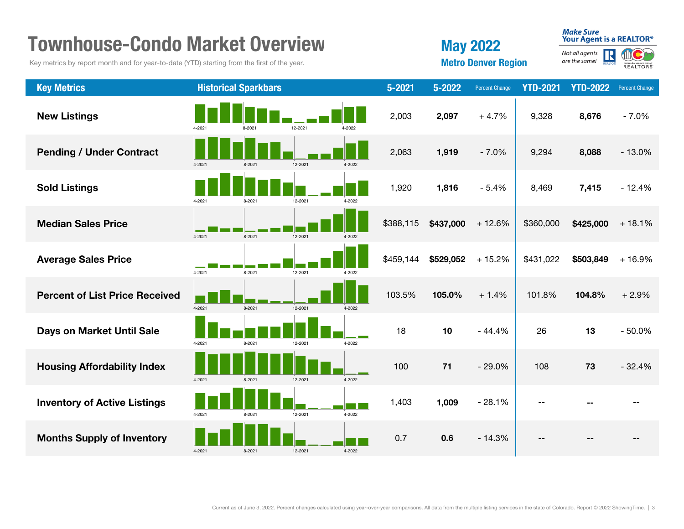| <b>Townhouse-Condo Market Overview</b>                                                      | <b>May 2022</b> |                             |                            | <b>Make Sure</b><br>Your Agent is a REALTOR® |                                      |           |                       |                 |                 |                       |
|---------------------------------------------------------------------------------------------|-----------------|-----------------------------|----------------------------|----------------------------------------------|--------------------------------------|-----------|-----------------------|-----------------|-----------------|-----------------------|
| Key metrics by report month and for year-to-date (YTD) starting from the first of the year. |                 |                             | <b>Metro Denver Region</b> |                                              | Not all agents<br>R<br>are the same! | EALTORS   |                       |                 |                 |                       |
| <b>Key Metrics</b>                                                                          |                 | <b>Historical Sparkbars</b> |                            |                                              | 5-2021                               | 5-2022    | <b>Percent Change</b> | <b>YTD-2021</b> | <b>YTD-2022</b> | <b>Percent Change</b> |
| <b>New Listings</b>                                                                         | 4-2021          |                             | 12-2021                    | 4-2022                                       | 2,003                                | 2,097     | $+4.7%$               | 9,328           | 8,676           | $-7.0%$               |
| <b>Pending / Under Contract</b>                                                             | 4-2021          | 8-2021                      | 12-2021                    | 4-2022                                       | 2,063                                | 1,919     | $-7.0%$               | 9,294           | 8,088           | $-13.0%$              |
| <b>Sold Listings</b>                                                                        | 4-2021          | 8-2021                      | 12-2021                    | 4-2022                                       | 1,920                                | 1,816     | $-5.4%$               | 8,469           | 7,415           | $-12.4%$              |
| <b>Median Sales Price</b>                                                                   | 4-2021          | 8-2021                      | 12-2021                    | 4-2022                                       | \$388,115                            | \$437,000 | $+12.6%$              | \$360,000       | \$425,000       | $+18.1%$              |
| <b>Average Sales Price</b>                                                                  | 4-2021          | 8-2021                      | 12-2021                    | 4-2022                                       | \$459,144                            | \$529,052 | $+15.2%$              | \$431,022       | \$503,849       | $+16.9%$              |
| <b>Percent of List Price Received</b>                                                       | 4-2021          | 8-2021                      | 12-2021                    | 4-2022                                       | 103.5%                               | 105.0%    | $+1.4%$               | 101.8%          | 104.8%          | $+2.9%$               |
| <b>Days on Market Until Sale</b>                                                            | 4-2021          | 8-2021                      | 12-2021                    | 4-2022                                       | 18                                   | 10        | $-44.4%$              | 26              | 13              | $-50.0%$              |
| <b>Housing Affordability Index</b>                                                          | $4 - 2021$      | 8-2021                      | 12-2021                    | 4-2022                                       | 100                                  | 71        | $-29.0%$              | 108             | 73              | $-32.4%$              |
| <b>Inventory of Active Listings</b>                                                         | 4-2021          | 8-2021                      | 12-2021                    | 4-2022                                       | 1,403                                | 1,009     | $-28.1%$              |                 |                 |                       |
| <b>Months Supply of Inventory</b>                                                           | 4-2021          | 8-2021                      | 12-2021                    | 4-2022                                       | 0.7                                  | 0.6       | $-14.3%$              |                 |                 |                       |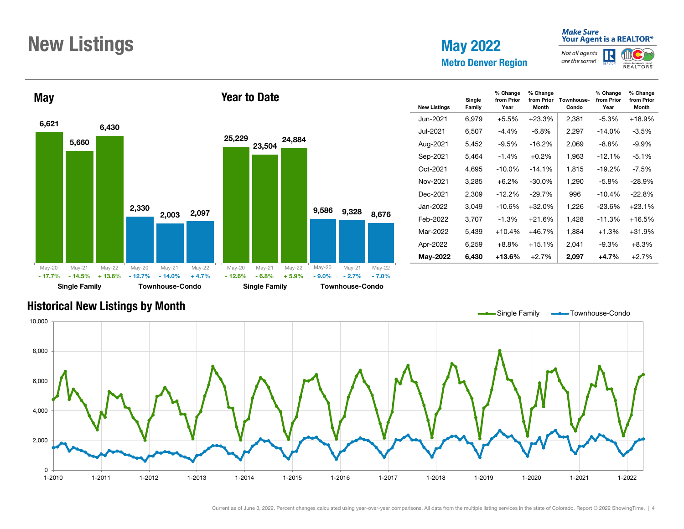# New Listings May 2022

# Metro Denver Region

# Make Sure<br>Your Agent is a REALTOR®

Not all agents R are the same!





| <b>New Listings</b> | Single<br>Family | % Change<br>from Prior<br>Year | % Change<br>from Prior<br><b>Month</b> | Townhouse-<br>Condo | % Change<br>from Prior<br>Year | % Change<br>from Prior<br>Month |
|---------------------|------------------|--------------------------------|----------------------------------------|---------------------|--------------------------------|---------------------------------|
| Jun-2021            | 6,979            | $+5.5%$                        | $+23.3%$                               | 2,381               | -5.3%                          | $+18.9%$                        |
| Jul-2021            | 6,507            | $-4.4\%$                       | $-6.8\%$                               | 2,297               | $-14.0%$                       | $-3.5\%$                        |
| Aug-2021            | 5,452            | $-9.5%$                        | $-16.2\%$                              | 2,069               | $-8.8\%$                       | $-9.9\%$                        |
| Sep-2021            | 5,464            | $-1.4%$                        | $+0.2%$                                | 1,963               | $-12.1%$                       | $-5.1%$                         |
| Oct-2021            | 4,695            | $-10.0%$                       | $-14.1%$                               | 1,815               | $-19.2%$                       | $-7.5\%$                        |
| Nov-2021            | 3,285            | $+6.2%$                        | $-30.0%$                               | 1,290               | $-5.8\%$                       | $-28.9%$                        |
| Dec-2021            | 2,309            | $-12.2%$                       | $-29.7\%$                              | 996                 | $-10.4%$                       | $-22.8%$                        |
| Jan-2022            | 3,049            | $-10.6%$                       | $+32.0%$                               | 1.226               | $-23.6%$                       | $+23.1%$                        |
| Feb-2022            | 3.707            | $-1.3\%$                       | $+21.6%$                               | 1,428               | $-11.3%$                       | $+16.5%$                        |
| Mar-2022            | 5,439            | $+10.4%$                       | $+46.7%$                               | 1,884               | $+1.3%$                        | $+31.9%$                        |
| Apr-2022            | 6,259            | $+8.8%$                        | $+15.1%$                               | 2,041               | $-9.3%$                        | $+8.3%$                         |
| <b>May-2022</b>     | 6,430            | $+13.6\%$                      | $+2.7%$                                | 2,097               | $+4.7%$                        | $+2.7%$                         |

# Historical New Listings by Month

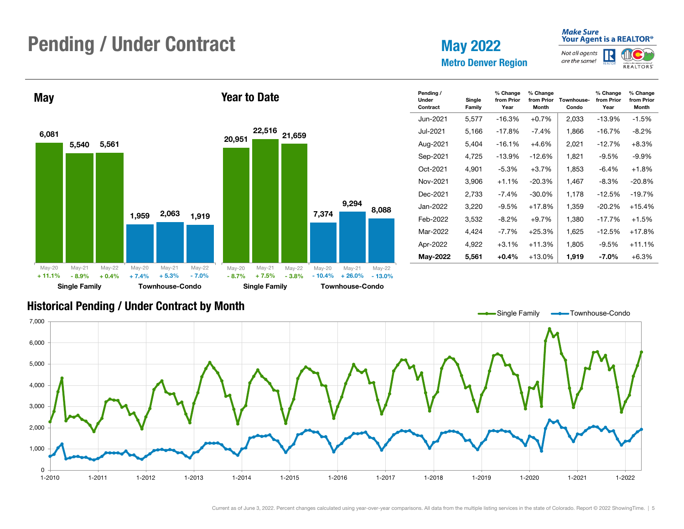# Pending / Under Contract May 2022

Metro Denver Region

### **Make Sure** Your Agent is a REALTOR<sup>®</sup>

% Change from Prior Year

Not all agents R are the same!



% Change from Prior Month



### Historical Pending / Under Contract by Month

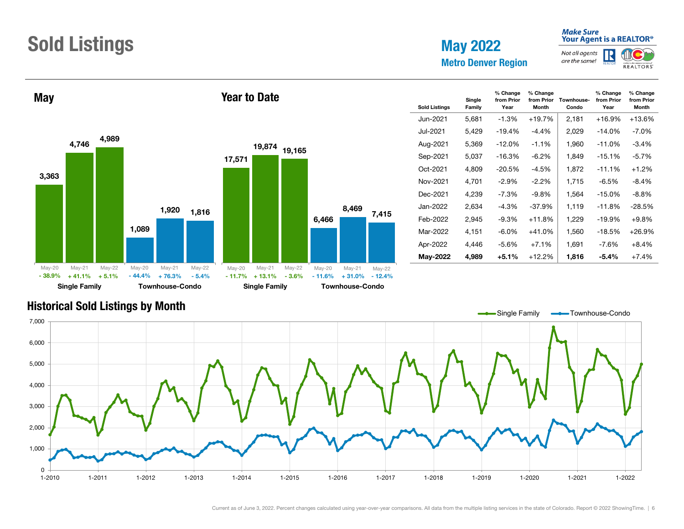# Sold Listings May 2022

Metro Denver Region

# Make Sure<br>Your Agent is a REALTOR®

Not all agents R are the same! **REALTORS** 



| lo    |          | <b>Single Family</b> |         |          | <b>Townhouse-Condo</b> |          |  |
|-------|----------|----------------------|---------|----------|------------------------|----------|--|
| 5.4%  | $-11.7%$ | $+13.1%$             | $-3.6%$ | $-11.6%$ | $+31.0%$               | $-12.4%$ |  |
| ay-22 | May-20   | May-21               | May-22  | May-20   | May-21                 | May-22   |  |
| 816,  | 17,571   | 19,874               | 19,165  | 6,466    | 8,469                  | 7,415    |  |
|       |          |                      |         |          |                        |          |  |
|       |          |                      |         |          |                        |          |  |

| <b>Sold Listings</b> | Single<br>Family | % Change<br>from Prior<br>Year | % Change<br>from Prior<br><b>Month</b> | Townhouse-<br>Condo | % Change<br>from Prior<br>Year | % Change<br>from Prior<br><b>Month</b> |
|----------------------|------------------|--------------------------------|----------------------------------------|---------------------|--------------------------------|----------------------------------------|
| Jun-2021.            | 5,681            | $-1.3%$                        | $+19.7%$                               | 2,181               | $+16.9%$                       | $+13.6%$                               |
| Jul-2021             | 5,429            | $-19.4%$                       | $-4.4\%$                               | 2,029               | $-14.0%$                       | $-7.0\%$                               |
| Aug-2021             | 5,369            | $-12.0\%$                      | $-1.1%$                                | 1,960               | $-11.0%$                       | $-3.4%$                                |
| Sep-2021             | 5,037            | -16.3%                         | $-6.2\%$                               | 1,849               | $-15.1%$                       | $-5.7%$                                |
| Oct-2021             | 4.809            | $-20.5\%$                      | $-4.5%$                                | 1,872               | $-11.1%$                       | $+1.2%$                                |
| Nov-2021             | 4,701            | $-2.9\%$                       | $-2.2\%$                               | 1,715               | $-6.5%$                        | $-8.4%$                                |
| Dec-2021             | 4,239            | $-7.3\%$                       | $-9.8\%$                               | 1,564               | $-15.0%$                       | $-8.8\%$                               |
| Jan-2022             | 2.634            | $-4.3%$                        | $-37.9%$                               | 1.119               | $-11.8%$                       | $-28.5%$                               |
| Feb-2022             | 2,945            | $-9.3%$                        | $+11.8%$                               | 1,229               | $-19.9%$                       | $+9.8%$                                |
| Mar-2022             | 4,151            | $-6.0\%$                       | $+41.0%$                               | 1,560               | $-18.5%$                       | $+26.9%$                               |
| Apr-2022             | 4.446            | $-5.6%$                        | $+7.1%$                                | 1,691               | $-7.6\%$                       | $+8.4%$                                |
| May-2022             | 4,989            | $+5.1%$                        | $+12.2%$                               | 1,816               | $-5.4\%$                       | $+7.4%$                                |

# Historical Sold Listings by Month

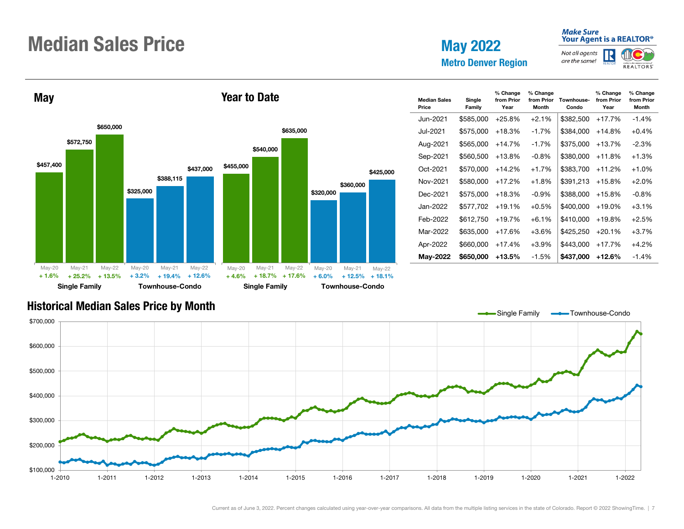# Median Sales Price

May 2022

#### **Make Sure** Your Agent is a REALTOR<sup>®</sup>

% Change from Prior Year

% Change from Prior Month

**REALTORS** 

Not all agents R are the same!



### Historical Median Sales Price by Month

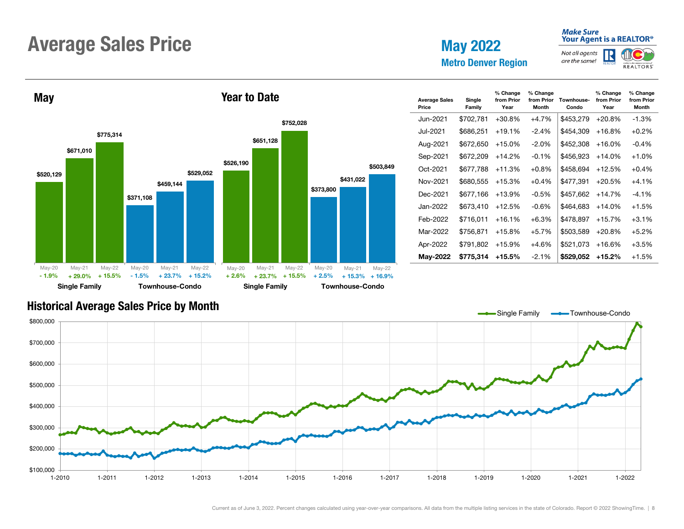# Average Sales Price May 2022

Metro Denver Region

#### Not all agents R are the same!

Make Sure<br>Your Agent is a REALTOR®





| <b>Average Sales</b><br>Price | Single<br>Family | % Change<br>from Prior<br>Year | % Change<br>from Prior<br><b>Month</b> | Townhouse-<br>Condo | % Change<br>from Prior<br>Year | % Change<br>from Prior<br><b>Month</b> |
|-------------------------------|------------------|--------------------------------|----------------------------------------|---------------------|--------------------------------|----------------------------------------|
| Jun-2021                      | \$702,781        | $+30.8%$                       | $+4.7%$                                | \$453,279           | $+20.8%$                       | $-1.3%$                                |
| Jul-2021                      | \$686,251        | $+19.1%$                       | $-2.4%$                                | \$454.309           | $+16.8%$                       | $+0.2%$                                |
| Aug-2021                      | \$672,650        | $+15.0%$                       | $-2.0\%$                               | \$452,308           | $+16.0%$                       | $-0.4%$                                |
| Sep-2021                      | \$672,209        | $+14.2%$                       | $-0.1%$                                | \$456,923           | $+14.0%$                       | $+1.0%$                                |
| Oct-2021                      | \$677.788        | $+11.3%$                       | $+0.8%$                                | \$458.694           | $+12.5%$                       | $+0.4%$                                |
| Nov-2021                      | \$680,555        | $+15.3%$                       | $+0.4%$                                | \$477,391           | $+20.5%$                       | $+4.1%$                                |
| Dec-2021                      | \$677,166        | $+13.9%$                       | $-0.5%$                                | \$457,662           | $+14.7%$                       | $-4.1\%$                               |
| Jan-2022                      | \$673.410        | $+12.5%$                       | $-0.6%$                                | \$464.683           | $+14.0%$                       | $+1.5%$                                |
| Feb-2022                      | \$716.011        | $+16.1%$                       | $+6.3%$                                | \$478,897           | $+15.7%$                       | $+3.1%$                                |
| Mar-2022                      | \$756,871        | $+15.8%$                       | $+5.7%$                                | \$503,589           | $+20.8%$                       | $+5.2%$                                |
| Apr-2022                      | \$791,802        | $+15.9%$                       | $+4.6%$                                | \$521,073           | $+16.6%$                       | $+3.5%$                                |
| May-2022                      | \$775,314        | $+15.5%$                       | $-2.1%$                                | \$529,052           | $+15.2%$                       | $+1.5%$                                |

### Historical Average Sales Price by Month

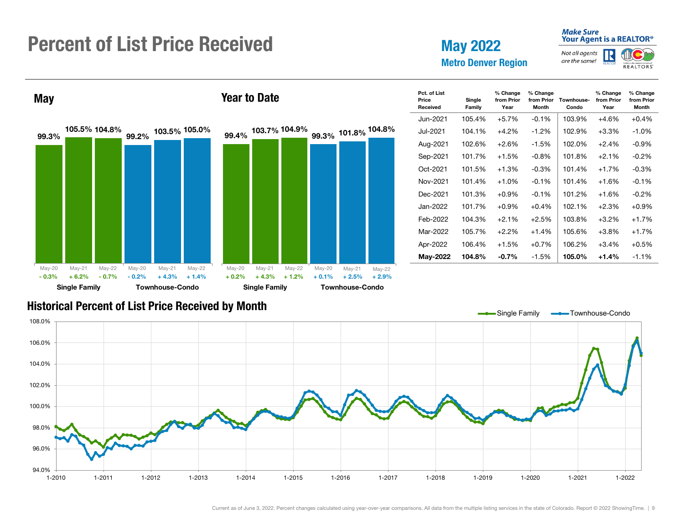# Percent of List Price Received

# May 2022 Metro Denver Region

#### **Make Sure** Your Agent is a REALTOR<sup>®</sup>

Not all agents R are the same!



% Change from Prior Month



### Historical Percent of List Price Received by Month

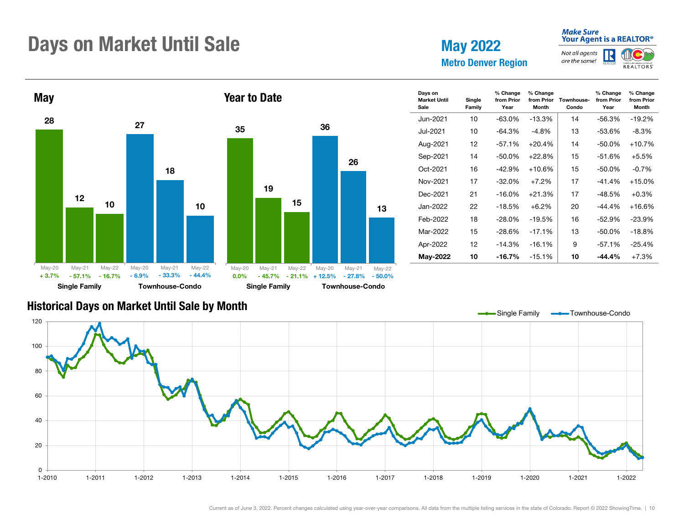# Days on Market Until Sale May 2022

Metro Denver Region

### **Make Sure** Your Agent is a REALTOR<sup>®</sup>

from Prior Month

Not all agents R are the same! **REALTORS** 



### Historical Days on Market Until Sale by Month

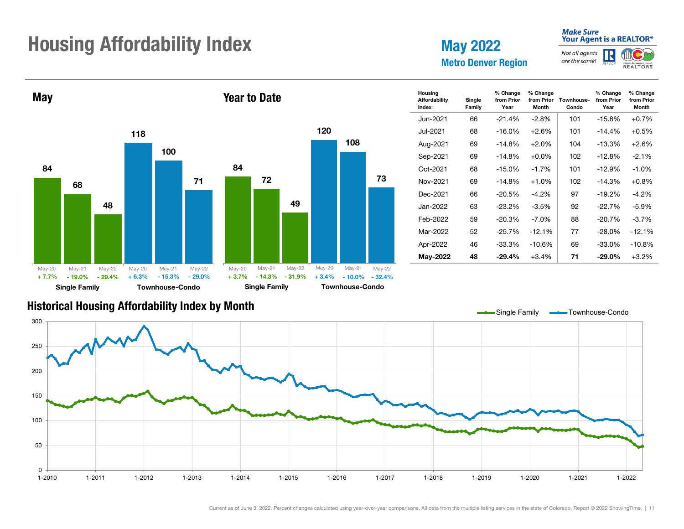# **Housing Affordability Index May 2022** May 2022

Metro Denver Region

### **Make Sure** Your Agent is a REALTOR®

Month

**REALTORS** 

Not all agents R are the same!



### Historical Housing Affordability Index by Month

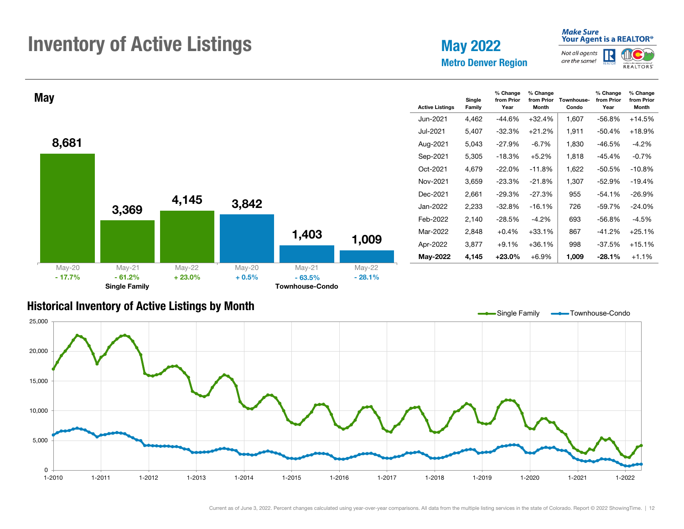# **Inventory of Active Listings** May 2022

Metro Denver Region

### **Make Sure** Your Agent is a REALTOR<sup>®</sup>

#### Not all agents R are the same! **REALTORS**

% Change from Prior Month



### Historical Inventory of Active Listings by Month

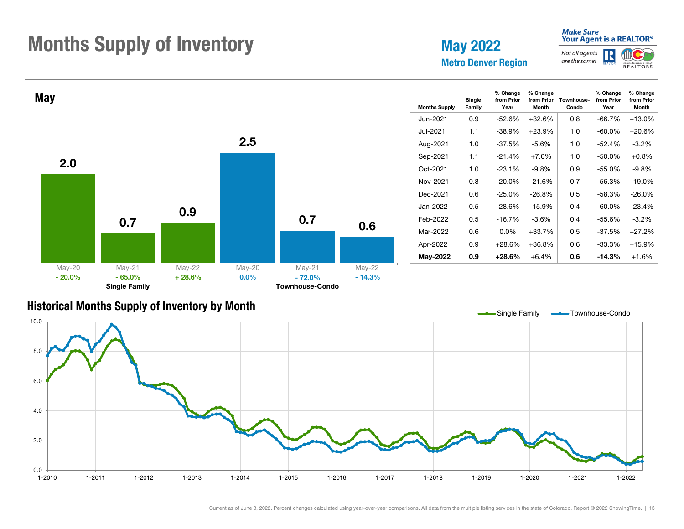# Months Supply of Inventory May 2022

Metro Denver Region

### **Make Sure** Your Agent is a REALTOR®

**REALTORS** 

Not all agents R are the same!



### Historical Months Supply of Inventory by Month

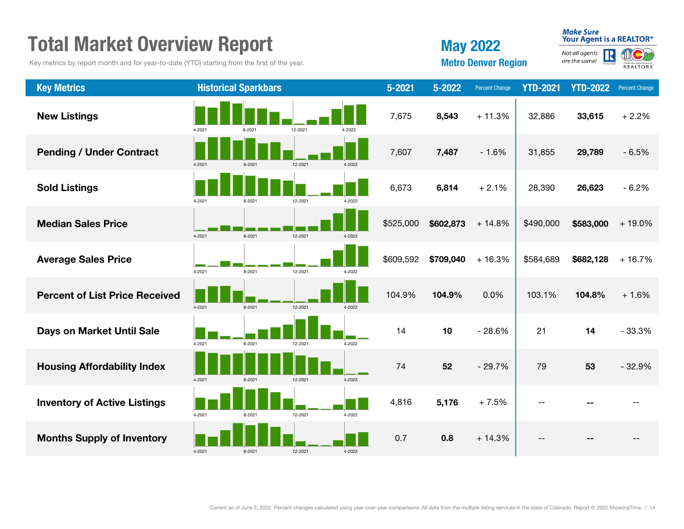| <b>Total Market Overview Report</b>   |                                                                                             |                             |         |        |            |           | <b>May 2022</b>       |                            |                                           | <b>Make Sure</b><br>Your Agent is a REALTOR®             |  |
|---------------------------------------|---------------------------------------------------------------------------------------------|-----------------------------|---------|--------|------------|-----------|-----------------------|----------------------------|-------------------------------------------|----------------------------------------------------------|--|
|                                       | Key metrics by report month and for year-to-date (YTD) starting from the first of the year. |                             |         |        |            |           |                       | <b>Metro Denver Region</b> | Not all agents<br>REALTO<br>are the same! | $\mathbf{C}$<br>⋓<br>Colorado association of<br>REALTORS |  |
| <b>Key Metrics</b>                    |                                                                                             | <b>Historical Sparkbars</b> |         |        | $5 - 2021$ | 5-2022    | <b>Percent Change</b> | <b>YTD-2021</b>            | <b>YTD-2022</b>                           | <b>Percent Change</b>                                    |  |
| <b>New Listings</b>                   | 4-2021                                                                                      | $8-202$                     | 12-2021 | 4-2022 | 7,675      | 8,543     | $+11.3%$              | 32,886                     | 33,615                                    | $+2.2%$                                                  |  |
| <b>Pending / Under Contract</b>       | 4-2021                                                                                      | 8-2021                      | 12-2021 | 4-2022 | 7,607      | 7,487     | $-1.6%$               | 31,855                     | 29,789                                    | $-6.5%$                                                  |  |
| <b>Sold Listings</b>                  | 4-2021                                                                                      | 8-2021                      | 12-2021 | 4-2022 | 6,673      | 6,814     | $+2.1%$               | 28,390                     | 26,623                                    | $-6.2%$                                                  |  |
| <b>Median Sales Price</b>             | 4-2021                                                                                      | 8-2021                      | 12-2021 | 4-2022 | \$525,000  | \$602,873 | $+14.8%$              | \$490,000                  | \$583,000                                 | $+19.0%$                                                 |  |
| <b>Average Sales Price</b>            | 4-2021                                                                                      | 8-2021                      | 12-2021 | 4-2022 | \$609,592  | \$709,040 | $+16.3%$              | \$584,689                  | \$682,128                                 | $+16.7%$                                                 |  |
| <b>Percent of List Price Received</b> | 4-2021                                                                                      | 8-2021                      | 12-2021 | 4-2022 | 104.9%     | 104.9%    | 0.0%                  | 103.1%                     | 104.8%                                    | $+1.6%$                                                  |  |
| Days on Market Until Sale             | 4-2021                                                                                      | 8-2021                      | 12-2021 | 4-2022 | 14         | 10        | $-28.6%$              | 21                         | 14                                        | $-33.3%$                                                 |  |
| <b>Housing Affordability Index</b>    | 4-2021                                                                                      | 8-2021                      | 12-2021 | 4-2022 | 74         | 52        | $-29.7%$              | 79                         | 53                                        | $-32.9%$                                                 |  |
| <b>Inventory of Active Listings</b>   | 4-2021                                                                                      | 8-2021                      | 12-2021 | 4-2022 | 4,816      | 5,176     | $+7.5%$               |                            |                                           |                                                          |  |
| <b>Months Supply of Inventory</b>     | 4-2021                                                                                      | 8-2021                      | 12-2021 | 4-2022 | 0.7        | 0.8       | $+14.3%$              |                            |                                           |                                                          |  |